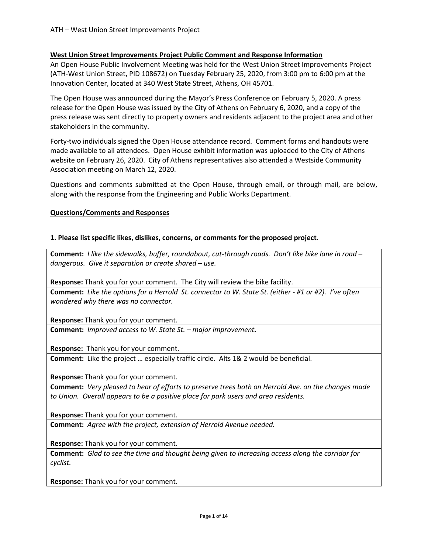### **West Union Street Improvements Project Public Comment and Response Information**

An Open House Public Involvement Meeting was held for the West Union Street Improvements Project (ATH-West Union Street, PID 108672) on Tuesday February 25, 2020, from 3:00 pm to 6:00 pm at the Innovation Center, located at 340 West State Street, Athens, OH 45701.

The Open House was announced during the Mayor's Press Conference on February 5, 2020. A press release for the Open House was issued by the City of Athens on February 6, 2020, and a copy of the press release was sent directly to property owners and residents adjacent to the project area and other stakeholders in the community.

Forty-two individuals signed the Open House attendance record. Comment forms and handouts were made available to all attendees. Open House exhibit information was uploaded to the City of Athens website on February 26, 2020. City of Athens representatives also attended a Westside Community Association meeting on March 12, 2020.

Questions and comments submitted at the Open House, through email, or through mail, are below, along with the response from the Engineering and Public Works Department.

## **Questions/Comments and Responses**

### **1. Please list specific likes, dislikes, concerns, or comments for the proposed project.**

**Comment:** *I like the sidewalks, buffer, roundabout, cut-through roads. Don't like bike lane in road – dangerous. Give it separation or create shared – use.*

**Response:** Thank you for your comment. The City will review the bike facility. **Comment:** *Like the options for a Herrold St. connector to W. State St. (either - #1 or #2). I've often wondered why there was no connector.*

**Response:** Thank you for your comment.

**Comment:** *Improved access to W. State St. – major improvement.*

**Response:** Thank you for your comment.

**Comment:** Like the project … especially traffic circle. Alts 1& 2 would be beneficial.

**Response:** Thank you for your comment.

**Comment:** *Very pleased to hear of efforts to preserve trees both on Herrold Ave. on the changes made to Union. Overall appears to be a positive place for park users and area residents.*

**Response:** Thank you for your comment.

**Comment:** *Agree with the project, extension of Herrold Avenue needed.*

**Response:** Thank you for your comment.

**Comment:** *Glad to see the time and thought being given to increasing access along the corridor for cyclist.*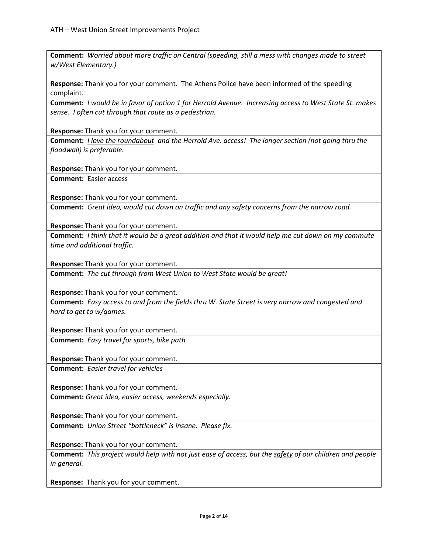**Comment:** *Worried about more traffic on Central (speeding, still a mess with changes made to street w/West Elementary.)*

**Response:** Thank you for your comment. The Athens Police have been informed of the speeding complaint.

**Comment:** *I would be in favor of option 1 for Herrold Avenue. Increasing access to West State St. makes sense. I often cut through that route as a pedestrian.*

**Response:** Thank you for your comment.

**Comment:** *I love the roundabout and the Herrold Ave. access! The longer section (not going thru the floodwall) is preferable.*

**Response:** Thank you for your comment.

**Comment:** Easier access

**Response:** Thank you for your comment.

**Comment:** *Great idea, would cut down on traffic and any safety concerns from the narrow road.*

**Response:** Thank you for your comment.

**Comment:** *I think that it would be a great addition and that it would help me cut down on my commute time and additional traffic.*

**Response:** Thank you for your comment.

**Comment:** *The cut through from West Union to West State would be great!*

**Response:** Thank you for your comment.

**Comment:** *Easy access to and from the fields thru W. State Street is very narrow and congested and hard to get to w/games.*

**Response:** Thank you for your comment.

**Comment:** *Easy travel for sports, bike path*

**Response:** Thank you for your comment. **Comment:** *Easier travel for vehicles*

**Response:** Thank you for your comment.

**Comment:** *Great idea, easier access, weekends especially.*

**Response:** Thank you for your comment.

**Comment:** *Union Street "bottleneck" is insane. Please fix.*

**Response:** Thank you for your comment.

**Comment:** *This project would help with not just ease of access, but the safety of our children and people in general.*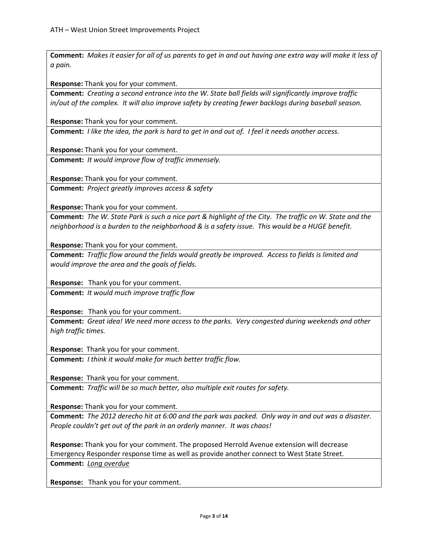**Comment:** *Makes it easier for all of us parents to get in and out having one extra way will make it less of a pain.*

**Response:** Thank you for your comment.

**Comment:** *Creating a second entrance into the W. State ball fields will significantly improve traffic in/out of the complex. It will also improve safety by creating fewer backlogs during baseball season.*

**Response:** Thank you for your comment.

**Comment:** *I like the idea, the park is hard to get in and out of. I feel it needs another access.*

**Response:** Thank you for your comment. **Comment:** *It would improve flow of traffic immensely.*

**Response:** Thank you for your comment.

**Comment:** *Project greatly improves access & safety*

**Response:** Thank you for your comment.

**Comment:** *The W. State Park is such a nice part & highlight of the City. The traffic on W. State and the neighborhood is a burden to the neighborhood & is a safety issue. This would be a HUGE benefit.*

**Response:** Thank you for your comment.

**Comment:** *Traffic flow around the fields would greatly be improved. Access to fields is limited and would improve the area and the goals of fields.*

**Response:** Thank you for your comment.

**Comment:** *It would much improve traffic flow*

**Response:** Thank you for your comment.

**Comment:** *Great idea! We need more access to the parks. Very congested during weekends and other high traffic times.*

**Response:** Thank you for your comment.

**Comment:** *I think it would make for much better traffic flow.*

**Response:** Thank you for your comment.

**Comment:** *Traffic will be so much better, also multiple exit routes for safety.*

**Response:** Thank you for your comment.

**Comment:** *The 2012 derecho hit at 6:00 and the park was packed. Only way in and out was a disaster. People couldn't get out of the park in an orderly manner. It was chaos!*

**Response:** Thank you for your comment. The proposed Herrold Avenue extension will decrease Emergency Responder response time as well as provide another connect to West State Street. **Comment:** *Long overdue*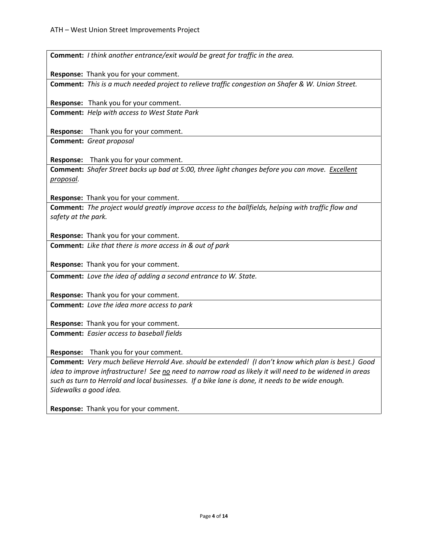| Comment: I think another entrance/exit would be great for traffic in the area.                                            |
|---------------------------------------------------------------------------------------------------------------------------|
| Response: Thank you for your comment.                                                                                     |
| Comment: This is a much needed project to relieve traffic congestion on Shafer & W. Union Street.                         |
| Response: Thank you for your comment.                                                                                     |
| <b>Comment:</b> Help with access to West State Park                                                                       |
| Response: Thank you for your comment.                                                                                     |
| <b>Comment:</b> Great proposal                                                                                            |
| Response: Thank you for your comment.                                                                                     |
| Comment: Shafer Street backs up bad at 5:00, three light changes before you can move. Excellent<br><u>proposal.</u>       |
| Response: Thank you for your comment.                                                                                     |
| Comment: The project would greatly improve access to the ballfields, helping with traffic flow and<br>safety at the park. |
| Response: Thank you for your comment.                                                                                     |
| <b>Comment:</b> Like that there is more access in & out of park                                                           |
| Response: Thank you for your comment.                                                                                     |
| <b>Comment:</b> Love the idea of adding a second entrance to W. State.                                                    |
| Response: Thank you for your comment.                                                                                     |
| <b>Comment:</b> Love the idea more access to park                                                                         |
| Response: Thank you for your comment.                                                                                     |
| <b>Comment:</b> Easier access to baseball fields                                                                          |
| Response: Thank you for your comment.                                                                                     |
| Comment: Very much believe Herrold Ave. should be extended! (I don't know which plan is best.) Good                       |
| idea to improve infrastructure! See no need to narrow road as likely it will need to be widened in areas                  |
| such as turn to Herrold and local businesses. If a bike lane is done, it needs to be wide enough.                         |
| Sidewalks a good idea.                                                                                                    |
|                                                                                                                           |
| Response: Thank you for your comment.                                                                                     |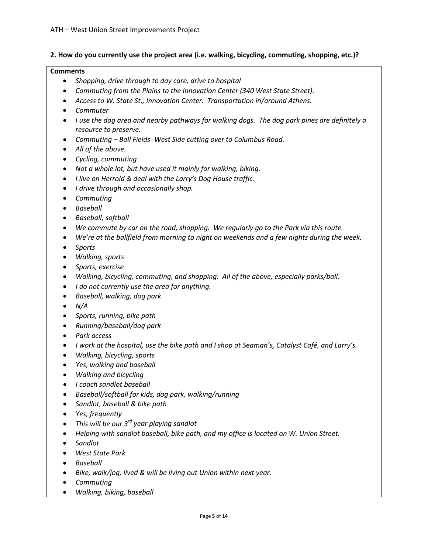## **2. How do you currently use the project area (i.e. walking, bicycling, commuting, shopping, etc.)?**

#### **Comments**

- *Shopping, drive through to day care, drive to hospital*
- *Commuting from the Plains to the Innovation Center (340 West State Street).*
- *Access to W. State St., Innovation Center. Transportation in/around Athens.*
- *Commuter*
- *I use the dog area and nearby pathways for walking dogs. The dog park pines are definitely a resource to preserve.*
- *Commuting – Ball Fields- West Side cutting over to Columbus Road.*
- *All of the above.*
- *Cycling, commuting*
- *Not a whole lot, but have used it mainly for walking, biking.*
- *I live on Herrold & deal with the Larry's Dog House traffic.*
- *I drive through and occasionally shop.*
- *Commuting*
- *Baseball*
- *Baseball, softball*
- *We commute by car on the road, shopping. We regularly go to the Park via this route.*
- *We're at the ballfield from morning to night on weekends and a few nights during the week.*
- *Sports*
- *Walking, sports*
- *Sports, exercise*
- *Walking, bicycling, commuting, and shopping. All of the above, especially parks/ball.*
- *I do not currently use the area for anything.*
- *Baseball, walking, dog park*
- *N/A*
- *Sports, running, bike path*
- *Running/baseball/dog park*
- *Park access*
- *I work at the hospital, use the bike path and I shop at Seaman's, Catalyst Café, and Larry's.*
- *Walking, bicycling, sports*
- *Yes, walking and baseball*
- *Walking and bicycling*
- *I coach sandlot baseball*
- *Baseball/softball for kids, dog park, walking/running*
- *Sandlot, baseball & bike path*
- *Yes, frequently*
- *This will be our 3rd year playing sandlot*
- *Helping with sandlot baseball, bike path, and my office is located on W. Union Street.*
- *Sandlot*
- *West State Park*
- *Baseball*
- *Bike, walk/jog, lived & will be living out Union within next year.*
- *Commuting*
- *Walking, biking, baseball*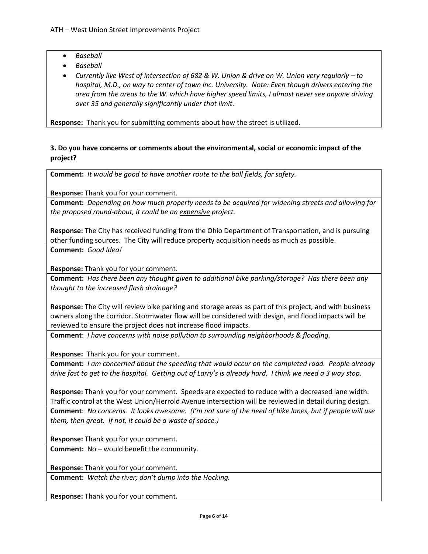- *Baseball*
- *Baseball*
- *Currently live West of intersection of 682 & W. Union & drive on W. Union very regularly – to hospital, M.D., on way to center of town inc. University. Note: Even though drivers entering the area from the areas to the W. which have higher speed limits, I almost never see anyone driving over 35 and generally significantly under that limit.*

**Response:** Thank you for submitting comments about how the street is utilized.

# **3. Do you have concerns or comments about the environmental, social or economic impact of the project?**

**Comment:** *It would be good to have another route to the ball fields, for safety.*

**Response:** Thank you for your comment.

**Comment:** *Depending on how much property needs to be acquired for widening streets and allowing for the proposed round-about, it could be an expensive project.*

**Response:** The City has received funding from the Ohio Department of Transportation, and is pursuing other funding sources. The City will reduce property acquisition needs as much as possible. **Comment:** *Good Idea!*

**Response:** Thank you for your comment.

**Comment:** *Has there been any thought given to additional bike parking/storage? Has there been any thought to the increased flash drainage?*

**Response:** The City will review bike parking and storage areas as part of this project, and with business owners along the corridor. Stormwater flow will be considered with design, and flood impacts will be reviewed to ensure the project does not increase flood impacts.

**Comment**: *I have concerns with noise pollution to surrounding neighborhoods & flooding.*

**Response:** Thank you for your comment.

**Comment:** *I am concerned about the speeding that would occur on the completed road. People already drive fast to get to the hospital. Getting out of Larry's is already hard. I think we need a 3 way stop.*

**Response:** Thank you for your comment. Speeds are expected to reduce with a decreased lane width. Traffic control at the West Union/Herrold Avenue intersection will be reviewed in detail during design. **Comment**: *No concerns. It looks awesome. (I'm not sure of the need of bike lanes, but if people will use them, then great. If not, it could be a waste of space.)*

**Response:** Thank you for your comment.

**Comment:** No – would benefit the community.

**Response:** Thank you for your comment.

**Comment:** *Watch the river; don't dump into the Hocking.*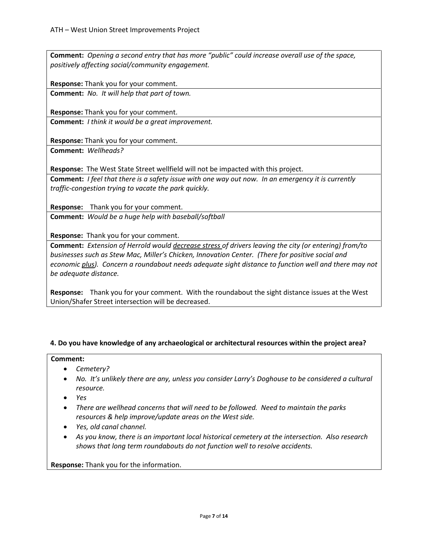**Comment:** *Opening a second entry that has more "public" could increase overall use of the space, positively affecting social/community engagement.*

**Response:** Thank you for your comment.

**Comment:** *No. It will help that part of town.*

**Response:** Thank you for your comment.

**Comment:** *I think it would be a great improvement.*

**Response:** Thank you for your comment. **Comment:** *Wellheads?*

**Response:** The West State Street wellfield will not be impacted with this project.

**Comment:** *I feel that there is a safety issue with one way out now. In an emergency it is currently traffic-congestion trying to vacate the park quickly.*

**Response:** Thank you for your comment. **Comment:** *Would be a huge help with baseball/softball*

**Response:** Thank you for your comment.

**Comment:** *Extension of Herrold would decrease stress of drivers leaving the city (or entering) from/to businesses such as Stew Mac, Miller's Chicken, Innovation Center. (There for positive social and economic plus). Concern a roundabout needs adequate sight distance to function well and there may not be adequate distance.*

**Response:** Thank you for your comment. With the roundabout the sight distance issues at the West Union/Shafer Street intersection will be decreased.

### **4. Do you have knowledge of any archaeological or architectural resources within the project area?**

### **Comment:**

- *Cemetery?*
- *No. It's unlikely there are any, unless you consider Larry's Doghouse to be considered a cultural resource.*
- *Yes*
- *There are wellhead concerns that will need to be followed. Need to maintain the parks resources & help improve/update areas on the West side.*
- *Yes, old canal channel.*
- *As you know, there is an important local historical cemetery at the intersection. Also research shows that long term roundabouts do not function well to resolve accidents.*

**Response:** Thank you for the information.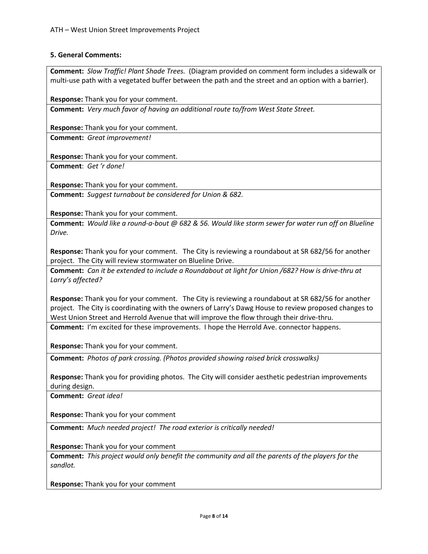## **5. General Comments:**

**Comment:** *Slow Traffic! Plant Shade Trees.* (Diagram provided on comment form includes a sidewalk or multi-use path with a vegetated buffer between the path and the street and an option with a barrier).

**Response:** Thank you for your comment.

**Comment:** *Very much favor of having an additional route to/from West State Street.*

**Response:** Thank you for your comment.

**Comment:** *Great improvement!*

**Response:** Thank you for your comment. **Comment**: *Get 'r done!*

**Response:** Thank you for your comment.

**Comment:** *Suggest turnabout be considered for Union & 682.*

**Response:** Thank you for your comment.

**Comment:** *Would like a round-a-bout @ 682 & 56. Would like storm sewer for water run off on Blueline Drive.*

**Response:** Thank you for your comment. The City is reviewing a roundabout at SR 682/56 for another project. The City will review stormwater on Blueline Drive.

**Comment:** *Can it be extended to include a Roundabout at light for Union /682? How is drive-thru at Larry's affected?*

**Response:** Thank you for your comment. The City is reviewing a roundabout at SR 682/56 for another project. The City is coordinating with the owners of Larry's Dawg House to review proposed changes to West Union Street and Herrold Avenue that will improve the flow through their drive-thru. **Comment:** I'm excited for these improvements. I hope the Herrold Ave. connector happens.

**Response:** Thank you for your comment.

**Comment:** *Photos of park crossing. (Photos provided showing raised brick crosswalks)*

**Response:** Thank you for providing photos. The City will consider aesthetic pedestrian improvements during design.

**Comment:** *Great idea!*

**Response:** Thank you for your comment

**Comment:** *Much needed project! The road exterior is critically needed!*

**Response:** Thank you for your comment

**Comment:** *This project would only benefit the community and all the parents of the players for the sandlot.*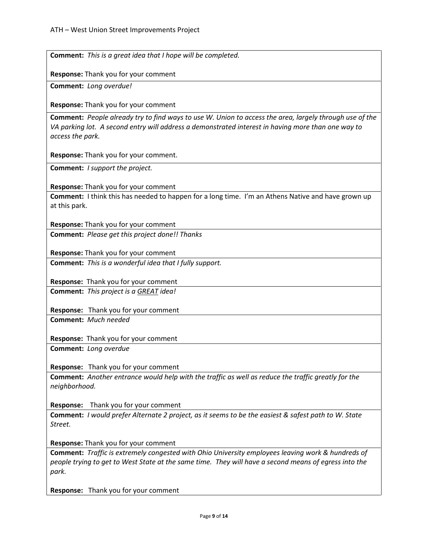| <b>Comment:</b> This is a great idea that I hope will be completed.                                                                                                                                                               |
|-----------------------------------------------------------------------------------------------------------------------------------------------------------------------------------------------------------------------------------|
|                                                                                                                                                                                                                                   |
| Response: Thank you for your comment                                                                                                                                                                                              |
| Comment: Long overdue!                                                                                                                                                                                                            |
| Response: Thank you for your comment                                                                                                                                                                                              |
| Comment: People already try to find ways to use W. Union to access the area, largely through use of the<br>VA parking lot. A second entry will address a demonstrated interest in having more than one way to<br>access the park. |
| Response: Thank you for your comment.                                                                                                                                                                                             |
| <b>Comment:</b> <i>I support the project.</i>                                                                                                                                                                                     |
| <b>Response:</b> Thank you for your comment                                                                                                                                                                                       |
| <b>Comment:</b> I think this has needed to happen for a long time. I'm an Athens Native and have grown up<br>at this park.                                                                                                        |
| Response: Thank you for your comment                                                                                                                                                                                              |
| Comment: Please get this project done!! Thanks                                                                                                                                                                                    |
| Response: Thank you for your comment                                                                                                                                                                                              |
| <b>Comment:</b> This is a wonderful idea that I fully support.                                                                                                                                                                    |
| Response: Thank you for your comment                                                                                                                                                                                              |
| <b>Comment:</b> This project is a <b>GREAT</b> idea!                                                                                                                                                                              |
| Response: Thank you for your comment                                                                                                                                                                                              |
| Comment: Much needed                                                                                                                                                                                                              |
| Response: Thank you for your comment                                                                                                                                                                                              |
| Comment: Long overdue                                                                                                                                                                                                             |
| Response: Thank you for your comment                                                                                                                                                                                              |
| Comment: Another entrance would help with the traffic as well as reduce the traffic greatly for the<br>neighborhood.                                                                                                              |
| Thank you for your comment<br><b>Response:</b>                                                                                                                                                                                    |
| <b>Comment:</b> I would prefer Alternate 2 project, as it seems to be the easiest & safest path to W. State<br>Street.                                                                                                            |
| Response: Thank you for your comment                                                                                                                                                                                              |
| <b>Comment:</b> Traffic is extremely congested with Ohio University employees leaving work & hundreds of<br>people trying to get to West State at the same time. They will have a second means of egress into the<br>park.        |
| Response: Thank you for your comment                                                                                                                                                                                              |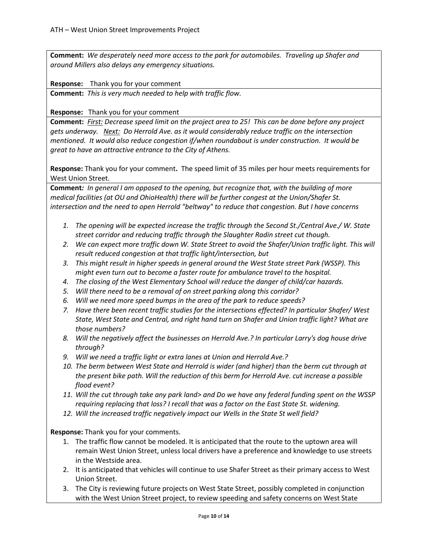**Comment:** *We desperately need more access to the park for automobiles. Traveling up Shafer and around Millers also delays any emergency situations.*

**Response:** Thank you for your comment

**Comment:** *This is very much needed to help with traffic flow.*

**Response:** Thank you for your comment

**Comment:** *First: Decrease speed limit on the project area to 25! This can be done before any project gets underway. Next: Do Herrold Ave. as it would considerably reduce traffic on the intersection mentioned. It would also reduce congestion if/when roundabout is under construction. It would be great to have an attractive entrance to the City of Athens.*

**Response:** Thank you for your comment**.** The speed limit of 35 miles per hour meets requirements for West Union Street.

**Comment***: In general I am opposed to the opening, but recognize that, with the building of more medical facilities (at OU and OhioHealth) there will be further congest at the Union/Shafer St. intersection and the need to open Herrold "beltway" to reduce that congestion. But I have concerns*

- *1. The opening will be expected increase the traffic through the Second St./Central Ave./ W. State street corridor and reducing traffic through the Slaughter Radin street cut though.*
- *2. We can expect more traffic down W. State Street to avoid the Shafer/Union traffic light. This will result reduced congestion at that traffic light/intersection, but*
- *3. This might result in higher speeds in general around the West State street Park (WSSP). This might even turn out to become a faster route for ambulance travel to the hospital.*
- *4. The closing of the West Elementary School will reduce the danger of child/car hazards.*
- *5. Will there need to be a removal of on street parking along this corridor?*
- *6. Will we need more speed bumps in the area of the park to reduce speeds?*
- *7. Have there been recent traffic studies for the intersections effected? In particular Shafer/ West State, West State and Central, and right hand turn on Shafer and Union traffic light? What are those numbers?*
- *8. Will the negatively affect the businesses on Herrold Ave.? In particular Larry's dog house drive through?*
- *9. Will we need a traffic light or extra lanes at Union and Herrold Ave.?*
- *10. The berm between West State and Herrold is wider (and higher) than the berm cut through at the present bike path. Will the reduction of this berm for Herrold Ave. cut increase a possible flood event?*
- *11. Will the cut through take any park land> and Do we have any federal funding spent on the WSSP requiring replacing that loss? I recall that was a factor on the East State St. widening.*
- *12. Will the increased traffic negatively impact our Wells in the State St well field?*

- 1. The traffic flow cannot be modeled. It is anticipated that the route to the uptown area will remain West Union Street, unless local drivers have a preference and knowledge to use streets in the Westside area.
- 2. It is anticipated that vehicles will continue to use Shafer Street as their primary access to West Union Street.
- 3. The City is reviewing future projects on West State Street, possibly completed in conjunction with the West Union Street project, to review speeding and safety concerns on West State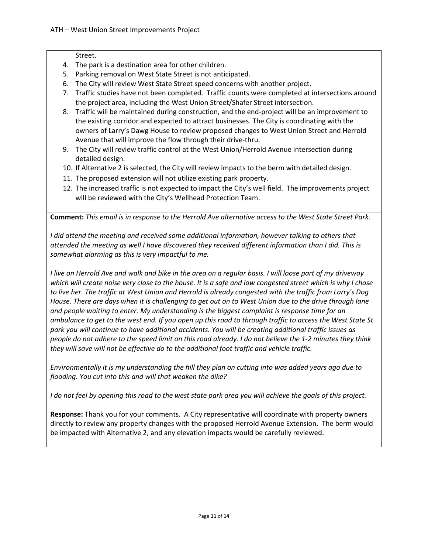#### Street.

- 4. The park is a destination area for other children.
- 5. Parking removal on West State Street is not anticipated.
- 6. The City will review West State Street speed concerns with another project.
- 7. Traffic studies have not been completed. Traffic counts were completed at intersections around the project area, including the West Union Street/Shafer Street intersection.
- 8. Traffic will be maintained during construction, and the end-project will be an improvement to the existing corridor and expected to attract businesses. The City is coordinating with the owners of Larry's Dawg House to review proposed changes to West Union Street and Herrold Avenue that will improve the flow through their drive-thru.
- 9. The City will review traffic control at the West Union/Herrold Avenue intersection during detailed design.
- 10. If Alternative 2 is selected, the City will review impacts to the berm with detailed design.
- 11. The proposed extension will not utilize existing park property.
- 12. The increased traffic is not expected to impact the City's well field. The improvements project will be reviewed with the City's Wellhead Protection Team.

**Comment:** *This email is in response to the Herrold Ave alternative access to the West State Street Park.*

*I did attend the meeting and received some additional information, however talking to others that attended the meeting as well I have discovered they received different information than I did. This is somewhat alarming as this is very impactful to me.*

*I live on Herrold Ave and walk and bike in the area on a regular basis. I will loose part of my driveway which will create noise very close to the house. It is a safe and low congested street which is why I chose to live her. The traffic at West Union and Herrold is already congested with the traffic from Larry's Dog House. There are days when it is challenging to get out on to West Union due to the drive through lane and people waiting to enter. My understanding is the biggest complaint is response time for an ambulance to get to the west end. If you open up this road to through traffic to access the West State St park you will continue to have additional accidents. You will be creating additional traffic issues as people do not adhere to the speed limit on this road already. I do not believe the 1-2 minutes they think they will save will not be effective do to the additional foot traffic and vehicle traffic.* 

*Environmentally it is my understanding the hill they plan on cutting into was added years ago due to flooding. You cut into this and will that weaken the dike?*

*I do not feel by opening this road to the west state park area you will achieve the goals of this project.*

**Response:** Thank you for your comments. A City representative will coordinate with property owners directly to review any property changes with the proposed Herrold Avenue Extension. The berm would be impacted with Alternative 2, and any elevation impacts would be carefully reviewed.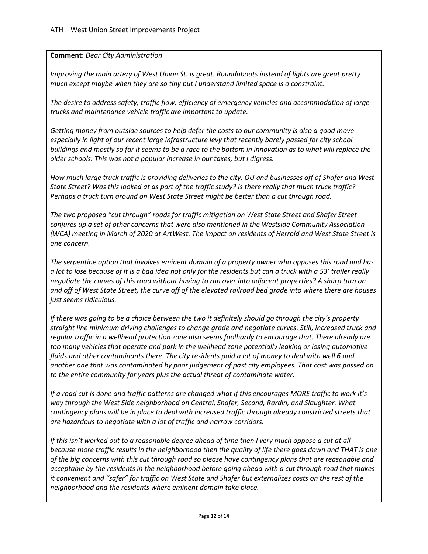## **Comment:** *Dear City Administration*

*Improving the main artery of West Union St. is great. Roundabouts instead of lights are great pretty much except maybe when they are so tiny but I understand limited space is a constraint.*

*The desire to address safety, traffic flow, efficiency of emergency vehicles and accommodation of large trucks and maintenance vehicle traffic are important to update.*

*Getting money from outside sources to help defer the costs to our community is also a good move especially in light of our recent large infrastructure levy that recently barely passed for city school buildings and mostly so far it seems to be a race to the bottom in innovation as to what will replace the older schools. This was not a popular increase in our taxes, but I digress.*

*How much large truck traffic is providing deliveries to the city, OU and businesses off of Shafer and West State Street? Was this looked at as part of the traffic study? Is there really that much truck traffic? Perhaps a truck turn around on West State Street might be better than a cut through road.*

*The two proposed "cut through" roads for traffic mitigation on West State Street and Shafer Street conjures up a set of other concerns that were also mentioned in the Westside Community Association (WCA) meeting in March of 2020 at ArtWest. The impact on residents of Herrold and West State Street is one concern.* 

*The serpentine option that involves eminent domain of a property owner who opposes this road and has a lot to lose because of it is a bad idea not only for the residents but can a truck with a 53' trailer really negotiate the curves of this road without having to run over into adjacent properties? A sharp turn on and off of West State Street, the curve off of the elevated railroad bed grade into where there are houses just seems ridiculous.*

*If there was going to be a choice between the two it definitely should go through the city's property straight line minimum driving challenges to change grade and negotiate curves. Still, increased truck and regular traffic in a wellhead protection zone also seems foolhardy to encourage that. There already are too many vehicles that operate and park in the wellhead zone potentially leaking or losing automotive fluids and other contaminants there. The city residents paid a lot of money to deal with well 6 and another one that was contaminated by poor judgement of past city employees. That cost was passed on to the entire community for years plus the actual threat of contaminate water.* 

*If a road cut is done and traffic patterns are changed what if this encourages MORE traffic to work it's way through the West Side neighborhood on Central, Shafer, Second, Rardin, and Slaughter. What contingency plans will be in place to deal with increased traffic through already constricted streets that are hazardous to negotiate with a lot of traffic and narrow corridors.* 

*If this isn't worked out to a reasonable degree ahead of time then I very much oppose a cut at all because more traffic results in the neighborhood then the quality of life there goes down and THAT is one of the big concerns with this cut through road so please have contingency plans that are reasonable and acceptable by the residents in the neighborhood before going ahead with a cut through road that makes it convenient and "safer" for traffic on West State and Shafer but externalizes costs on the rest of the neighborhood and the residents where eminent domain take place.*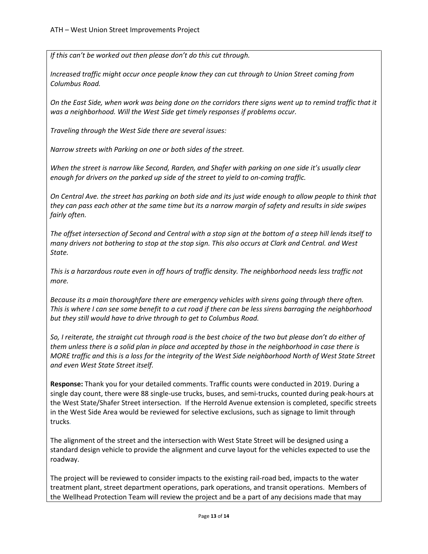*If this can't be worked out then please don't do this cut through.*

*Increased traffic might occur once people know they can cut through to Union Street coming from Columbus Road.*

*On the East Side, when work was being done on the corridors there signs went up to remind traffic that it was a neighborhood. Will the West Side get timely responses if problems occur.*

*Traveling through the West Side there are several issues:*

*Narrow streets with Parking on one or both sides of the street.*

*When the street is narrow like Second, Rarden, and Shafer with parking on one side it's usually clear enough for drivers on the parked up side of the street to yield to on-coming traffic.* 

*On Central Ave. the street has parking on both side and its just wide enough to allow people to think that they can pass each other at the same time but its a narrow margin of safety and results in side swipes fairly often.*

*The offset intersection of Second and Central with a stop sign at the bottom of a steep hill lends itself to many drivers not bothering to stop at the stop sign. This also occurs at Clark and Central. and West State.* 

*This is a harzardous route even in off hours of traffic density. The neighborhood needs less traffic not more.*

*Because its a main thoroughfare there are emergency vehicles with sirens going through there often. This is where I can see some benefit to a cut road if there can be less sirens barraging the neighborhood but they still would have to drive through to get to Columbus Road.* 

*So, I reiterate, the straight cut through road is the best choice of the two but please don't do either of them unless there is a solid plan in place and accepted by those in the neighborhood in case there is MORE traffic and this is a loss for the integrity of the West Side neighborhood North of West State Street and even West State Street itself.*

**Response:** Thank you for your detailed comments. Traffic counts were conducted in 2019. During a single day count, there were 88 single-use trucks, buses, and semi-trucks, counted during peak-hours at the West State/Shafer Street intersection. If the Herrold Avenue extension is completed, specific streets in the West Side Area would be reviewed for selective exclusions, such as signage to limit through trucks*.*

The alignment of the street and the intersection with West State Street will be designed using a standard design vehicle to provide the alignment and curve layout for the vehicles expected to use the roadway.

The project will be reviewed to consider impacts to the existing rail-road bed, impacts to the water treatment plant, street department operations, park operations, and transit operations. Members of the Wellhead Protection Team will review the project and be a part of any decisions made that may